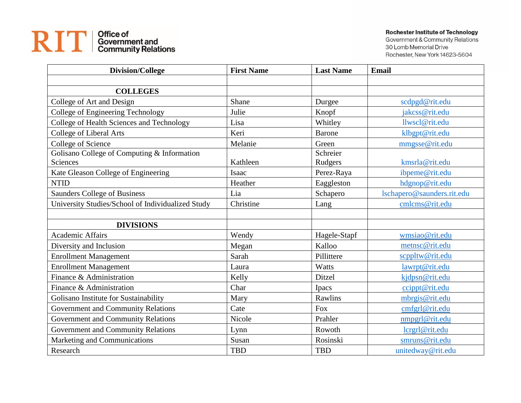## RIT | Office of<br>
Content and<br>
Community Relations

## **Rochester Institute of Technology**

Government & Community Relations 30 Lomb Memorial Drive Rochester, New York 14623-5604

| <b>Division/College</b>                           | <b>First Name</b> | <b>Last Name</b> | <b>Email</b>               |
|---------------------------------------------------|-------------------|------------------|----------------------------|
|                                                   |                   |                  |                            |
| <b>COLLEGES</b>                                   |                   |                  |                            |
| College of Art and Design                         | Shane             | Durgee           | scdpgd@rit.edu             |
| College of Engineering Technology                 | Julie             | Knopf            | jakcss@rit.edu             |
| College of Health Sciences and Technology         | Lisa              | Whitley          | llwscl@rit.edu             |
| College of Liberal Arts                           | Keri              | <b>Barone</b>    | klbgpt@rit.edu             |
| College of Science                                | Melanie           | Green            | mmgsse@rit.edu             |
| Golisano College of Computing & Information       |                   | Schreier         |                            |
| <b>Sciences</b>                                   | Kathleen          | Rudgers          | kmsrla@rit.edu             |
| Kate Gleason College of Engineering               | Isaac             | Perez-Raya       | ibpeme@rit.edu             |
| <b>NTID</b>                                       | Heather           | Eaggleston       | hdgnop@rit.edu             |
| <b>Saunders College of Business</b>               | Lia               | Schapero         | lschapero@saunders.rit.edu |
| University Studies/School of Individualized Study | Christine         | Lang             | cmlcms@rit.edu             |
|                                                   |                   |                  |                            |
| <b>DIVISIONS</b>                                  |                   |                  |                            |
| <b>Academic Affairs</b>                           | Wendy             | Hagele-Stapf     | wmsiao@rit.edu             |
| Diversity and Inclusion                           | Megan             | Kalloo           | metnsc@rit.edu             |
| <b>Enrollment Management</b>                      | Sarah             | Pillittere       | scppltw@rit.edu            |
| <b>Enrollment Management</b>                      | Laura             | Watts            | lawrpt@rit.edu             |
| Finance & Administration                          | Kelly             | Ditzel           | kjdpsn@rit.edu             |
| Finance & Administration                          | Char              | Ipacs            | ccippt@rit.edu             |
| Golisano Institute for Sustainability             | Mary              | Rawlins          | mbrgis@rit.edu             |
| Government and Community Relations                | Cate              | <b>Fox</b>       | cmfgrl@rit.edu             |
| <b>Government and Community Relations</b>         | Nicole            | Prahler          | nmpgrl@rit.edu             |
| Government and Community Relations                | Lynn              | Rowoth           | lcrgrl@rit.edu             |
| Marketing and Communications                      | Susan             | Rosinski         | smruns@rit.edu             |
| Research                                          | <b>TBD</b>        | <b>TBD</b>       | unitedway@rit.edu          |